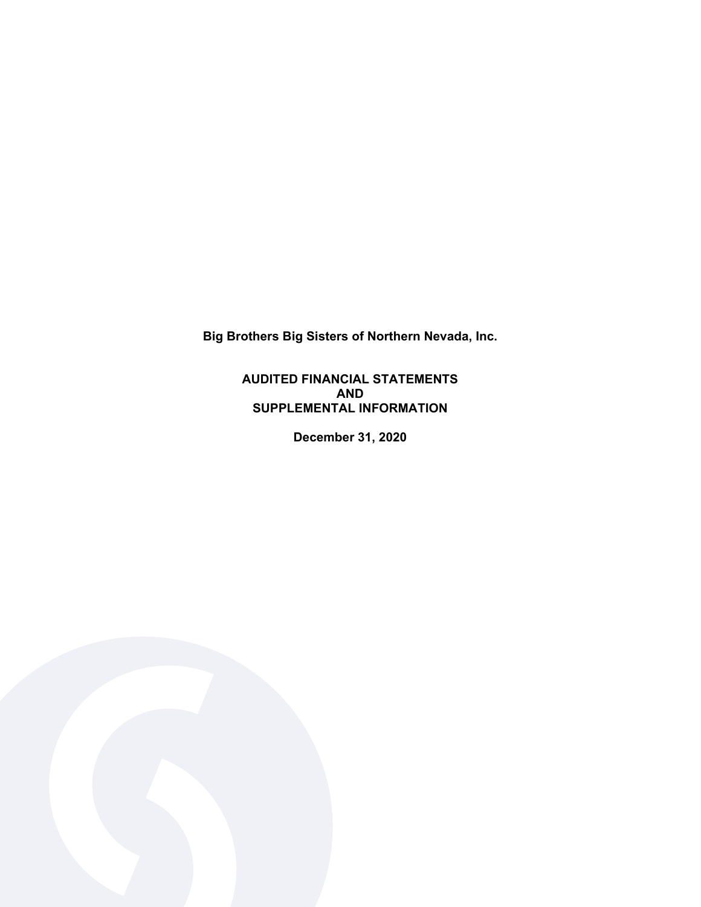**AUDITED FINANCIAL STATEMENTS AND SUPPLEMENTAL INFORMATION** 

**December 31, 2020** 

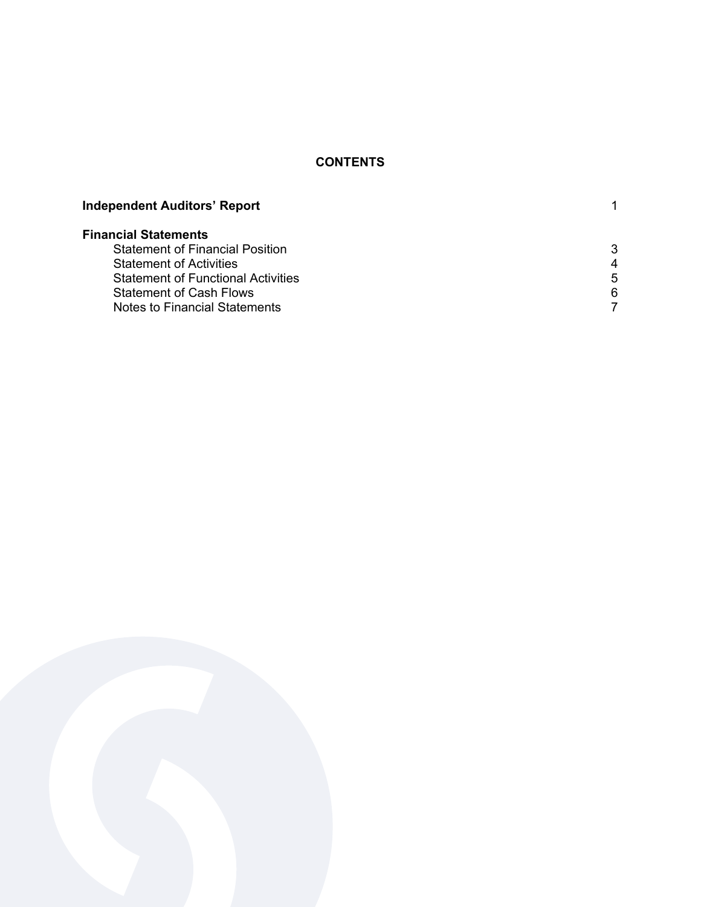# **CONTENTS**

| <b>Independent Auditors' Report</b>       |   |
|-------------------------------------------|---|
| <b>Financial Statements</b>               |   |
| <b>Statement of Financial Position</b>    | 3 |
| <b>Statement of Activities</b>            | 4 |
| <b>Statement of Functional Activities</b> | 5 |
| <b>Statement of Cash Flows</b>            | 6 |
| Notes to Financial Statements             |   |
|                                           |   |

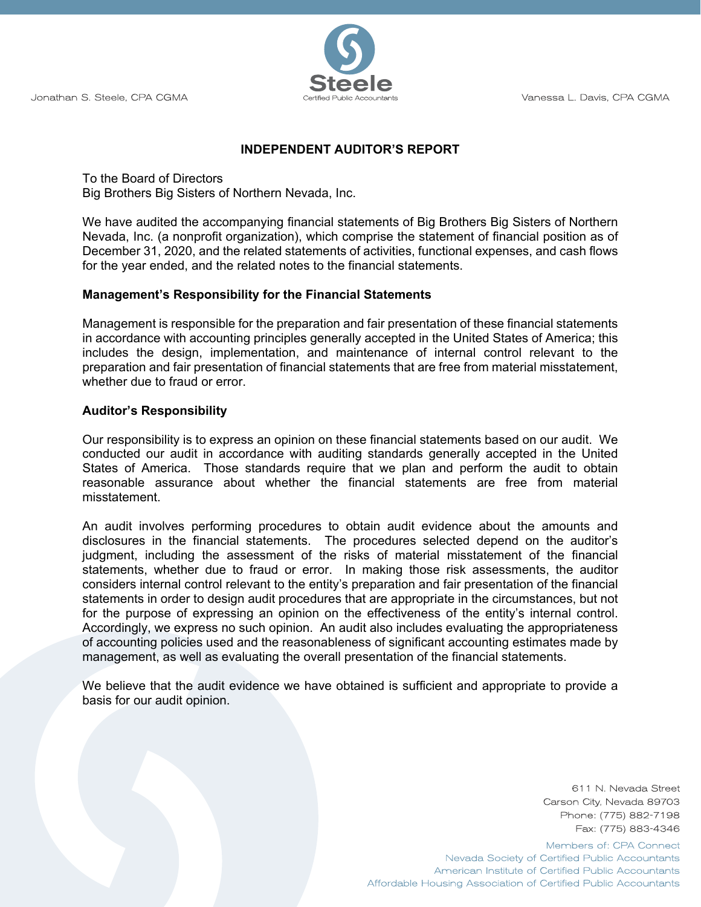Vanessa L. Davis, CPA CGMA





# **INDEPENDENT AUDITOR'S REPORT**

#### To the Board of Directors

Big Brothers Big Sisters of Northern Nevada, Inc.

We have audited the accompanying financial statements of Big Brothers Big Sisters of Northern Nevada, Inc. (a nonprofit organization), which comprise the statement of financial position as of December 31, 2020, and the related statements of activities, functional expenses, and cash flows for the year ended, and the related notes to the financial statements.

## **Management's Responsibility for the Financial Statements**

Management is responsible for the preparation and fair presentation of these financial statements in accordance with accounting principles generally accepted in the United States of America; this includes the design, implementation, and maintenance of internal control relevant to the preparation and fair presentation of financial statements that are free from material misstatement, whether due to fraud or error

## **Auditor's Responsibility**

Our responsibility is to express an opinion on these financial statements based on our audit. We conducted our audit in accordance with auditing standards generally accepted in the United States of America. Those standards require that we plan and perform the audit to obtain reasonable assurance about whether the financial statements are free from material misstatement.

An audit involves performing procedures to obtain audit evidence about the amounts and disclosures in the financial statements. The procedures selected depend on the auditor's judgment, including the assessment of the risks of material misstatement of the financial statements, whether due to fraud or error. In making those risk assessments, the auditor considers internal control relevant to the entity's preparation and fair presentation of the financial statements in order to design audit procedures that are appropriate in the circumstances, but not for the purpose of expressing an opinion on the effectiveness of the entity's internal control. Accordingly, we express no such opinion. An audit also includes evaluating the appropriateness of accounting policies used and the reasonableness of significant accounting estimates made by management, as well as evaluating the overall presentation of the financial statements.

We believe that the audit evidence we have obtained is sufficient and appropriate to provide a basis for our audit opinion.

> 611 N. Nevada Street Carson City, Nevada 89703 Phone: (775) 882-7198 Fax: (775) 883-4346

Members of: CPA Connect Nevada Society of Certified Public Accountants American Institute of Certified Public Accountants Affordable Housing Association of Certified Public Accountants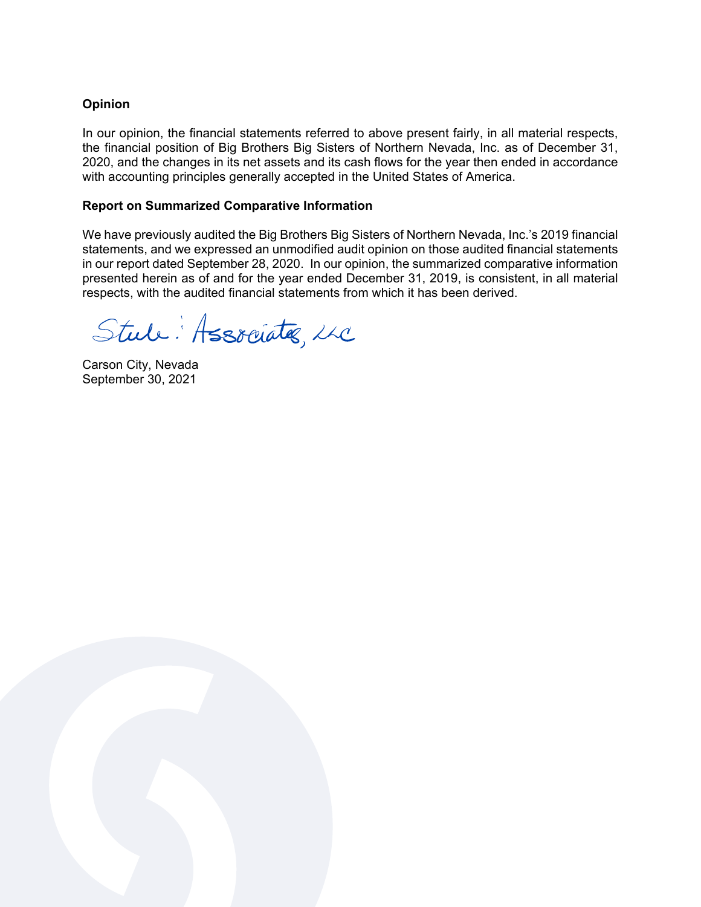# **Opinion**

In our opinion, the financial statements referred to above present fairly, in all material respects, the financial position of Big Brothers Big Sisters of Northern Nevada, Inc. as of December 31, 2020, and the changes in its net assets and its cash flows for the year then ended in accordance with accounting principles generally accepted in the United States of America.

### **Report on Summarized Comparative Information**

We have previously audited the Big Brothers Big Sisters of Northern Nevada, Inc.'s 2019 financial statements, and we expressed an unmodified audit opinion on those audited financial statements in our report dated September 28, 2020. In our opinion, the summarized comparative information presented herein as of and for the year ended December 31, 2019, is consistent, in all material respects, with the audited financial statements from which it has been derived.

Stule: Associates, uc

Carson City, Nevada September 30, 2021

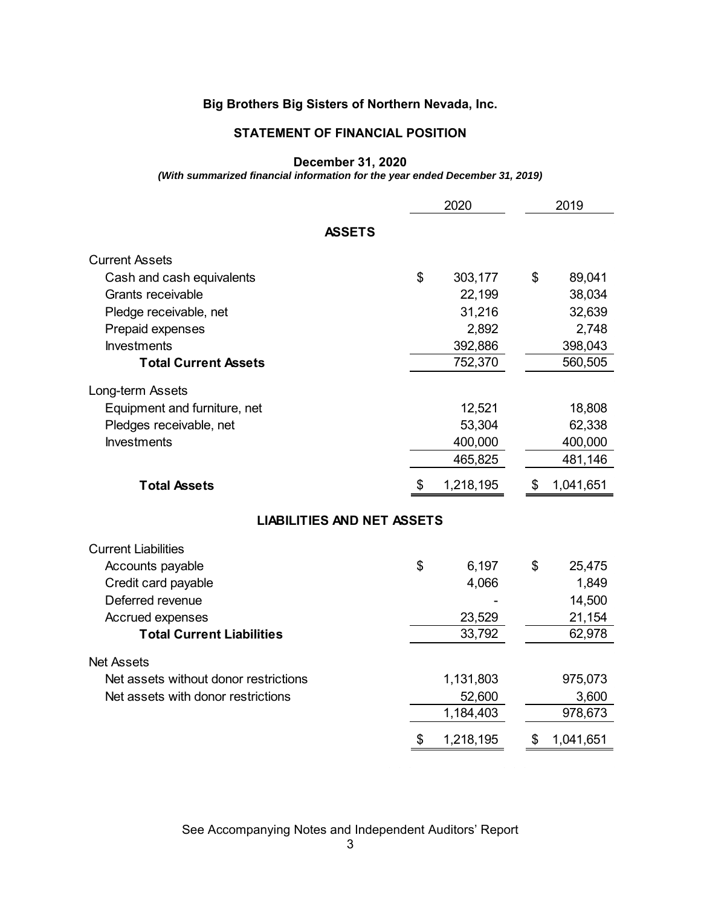# **STATEMENT OF FINANCIAL POSITION**

## **December 31, 2020**

*(With summarized financial information for the year ended December 31, 2019)* 

| <b>ASSETS</b><br><b>Current Assets</b><br>\$<br>Cash and cash equivalents<br>303,177<br>\$<br>Grants receivable<br>22,199<br>31,216<br>Pledge receivable, net<br>Prepaid expenses<br>2,892<br><b>Investments</b><br>392,886<br>752,370<br><b>Total Current Assets</b><br>Long-term Assets<br>Equipment and furniture, net<br>12,521<br>18,808<br>Pledges receivable, net<br>53,304<br>62,338<br><b>Investments</b><br>400,000<br>400,000<br>465,825<br>1,218,195<br><b>Total Assets</b><br>\$<br>\$<br><b>LIABILITIES AND NET ASSETS</b><br><b>Current Liabilities</b><br>\$<br>6,197<br>\$<br>Accounts payable<br>25,475<br>Credit card payable<br>1,849<br>4,066<br>Deferred revenue<br>14,500<br>23,529<br>21,154 |                                       | 2020 |           | 2019 |                  |
|----------------------------------------------------------------------------------------------------------------------------------------------------------------------------------------------------------------------------------------------------------------------------------------------------------------------------------------------------------------------------------------------------------------------------------------------------------------------------------------------------------------------------------------------------------------------------------------------------------------------------------------------------------------------------------------------------------------------|---------------------------------------|------|-----------|------|------------------|
|                                                                                                                                                                                                                                                                                                                                                                                                                                                                                                                                                                                                                                                                                                                      |                                       |      |           |      |                  |
|                                                                                                                                                                                                                                                                                                                                                                                                                                                                                                                                                                                                                                                                                                                      |                                       |      |           |      |                  |
|                                                                                                                                                                                                                                                                                                                                                                                                                                                                                                                                                                                                                                                                                                                      |                                       |      |           |      | 89,041           |
|                                                                                                                                                                                                                                                                                                                                                                                                                                                                                                                                                                                                                                                                                                                      |                                       |      |           |      | 38,034           |
|                                                                                                                                                                                                                                                                                                                                                                                                                                                                                                                                                                                                                                                                                                                      |                                       |      |           |      | 32,639           |
|                                                                                                                                                                                                                                                                                                                                                                                                                                                                                                                                                                                                                                                                                                                      |                                       |      |           |      | 2,748            |
|                                                                                                                                                                                                                                                                                                                                                                                                                                                                                                                                                                                                                                                                                                                      |                                       |      |           |      | 398,043          |
|                                                                                                                                                                                                                                                                                                                                                                                                                                                                                                                                                                                                                                                                                                                      |                                       |      |           |      | 560,505          |
|                                                                                                                                                                                                                                                                                                                                                                                                                                                                                                                                                                                                                                                                                                                      |                                       |      |           |      |                  |
|                                                                                                                                                                                                                                                                                                                                                                                                                                                                                                                                                                                                                                                                                                                      |                                       |      |           |      |                  |
|                                                                                                                                                                                                                                                                                                                                                                                                                                                                                                                                                                                                                                                                                                                      |                                       |      |           |      |                  |
|                                                                                                                                                                                                                                                                                                                                                                                                                                                                                                                                                                                                                                                                                                                      |                                       |      |           |      |                  |
|                                                                                                                                                                                                                                                                                                                                                                                                                                                                                                                                                                                                                                                                                                                      |                                       |      |           |      | 481,146          |
|                                                                                                                                                                                                                                                                                                                                                                                                                                                                                                                                                                                                                                                                                                                      |                                       |      |           |      | 1,041,651        |
|                                                                                                                                                                                                                                                                                                                                                                                                                                                                                                                                                                                                                                                                                                                      |                                       |      |           |      |                  |
|                                                                                                                                                                                                                                                                                                                                                                                                                                                                                                                                                                                                                                                                                                                      |                                       |      |           |      |                  |
|                                                                                                                                                                                                                                                                                                                                                                                                                                                                                                                                                                                                                                                                                                                      |                                       |      |           |      |                  |
|                                                                                                                                                                                                                                                                                                                                                                                                                                                                                                                                                                                                                                                                                                                      |                                       |      |           |      |                  |
|                                                                                                                                                                                                                                                                                                                                                                                                                                                                                                                                                                                                                                                                                                                      |                                       |      |           |      |                  |
|                                                                                                                                                                                                                                                                                                                                                                                                                                                                                                                                                                                                                                                                                                                      |                                       |      |           |      |                  |
| 33,792<br><b>Total Current Liabilities</b>                                                                                                                                                                                                                                                                                                                                                                                                                                                                                                                                                                                                                                                                           |                                       |      |           |      | 62,978           |
|                                                                                                                                                                                                                                                                                                                                                                                                                                                                                                                                                                                                                                                                                                                      | Accrued expenses                      |      |           |      |                  |
|                                                                                                                                                                                                                                                                                                                                                                                                                                                                                                                                                                                                                                                                                                                      |                                       |      |           |      |                  |
|                                                                                                                                                                                                                                                                                                                                                                                                                                                                                                                                                                                                                                                                                                                      | <b>Net Assets</b>                     |      |           |      |                  |
| 1,184,403                                                                                                                                                                                                                                                                                                                                                                                                                                                                                                                                                                                                                                                                                                            | Net assets without donor restrictions |      | 1,131,803 |      | 975,073          |
| 1,218,195<br>1,041,651<br>\$<br>\$                                                                                                                                                                                                                                                                                                                                                                                                                                                                                                                                                                                                                                                                                   | Net assets with donor restrictions    |      | 52,600    |      | 3,600<br>978,673 |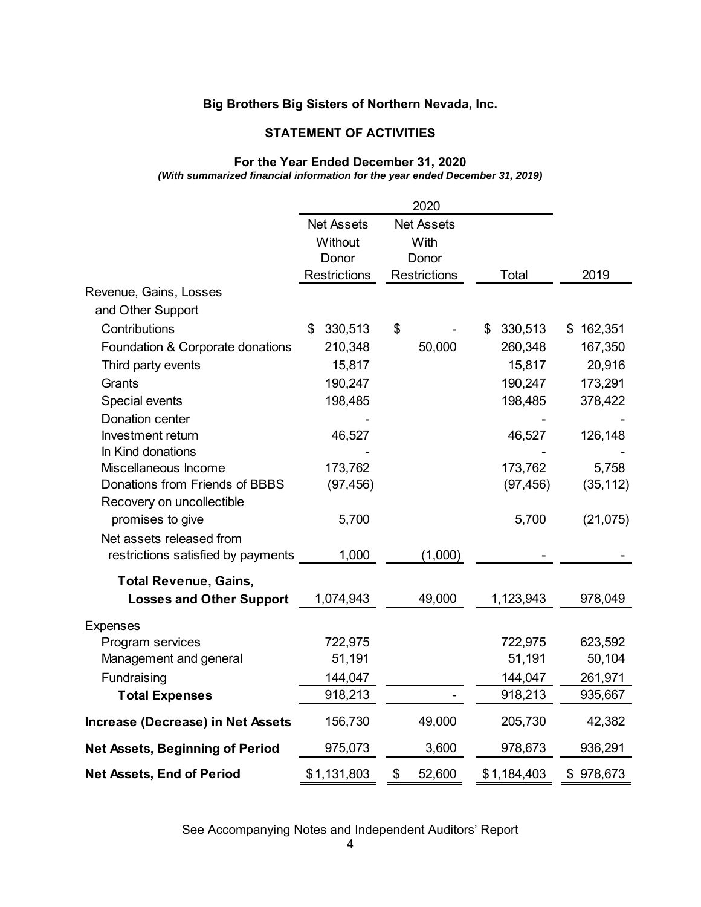# **STATEMENT OF ACTIVITIES**

#### **For the Year Ended December 31, 2020**  *(With summarized financial information for the year ended December 31, 2019)*

|                                        |                     | 2020                |               |           |
|----------------------------------------|---------------------|---------------------|---------------|-----------|
|                                        | <b>Net Assets</b>   | <b>Net Assets</b>   |               |           |
|                                        | Without             | With                |               |           |
|                                        | Donor               | Donor               |               |           |
|                                        | <b>Restrictions</b> | <b>Restrictions</b> | Total         | 2019      |
| Revenue, Gains, Losses                 |                     |                     |               |           |
| and Other Support                      |                     |                     |               |           |
| Contributions                          | \$<br>330,513       | \$                  | 330,513<br>\$ | \$162,351 |
| Foundation & Corporate donations       | 210,348             | 50,000              | 260,348       | 167,350   |
| Third party events                     | 15,817              |                     | 15,817        | 20,916    |
| Grants                                 | 190,247             |                     | 190,247       | 173,291   |
| Special events                         | 198,485             |                     | 198,485       | 378,422   |
| <b>Donation center</b>                 |                     |                     |               |           |
| Investment return                      | 46,527              |                     | 46,527        | 126,148   |
| In Kind donations                      |                     |                     |               |           |
| Miscellaneous Income                   | 173,762             |                     | 173,762       | 5,758     |
| Donations from Friends of BBBS         | (97, 456)           |                     | (97, 456)     | (35, 112) |
| Recovery on uncollectible              |                     |                     |               |           |
| promises to give                       | 5,700               |                     | 5,700         | (21, 075) |
| Net assets released from               |                     |                     |               |           |
| restrictions satisfied by payments     | 1,000               | (1,000)             |               |           |
| <b>Total Revenue, Gains,</b>           |                     |                     |               |           |
| <b>Losses and Other Support</b>        | 1,074,943           | 49,000              | 1,123,943     | 978,049   |
| <b>Expenses</b>                        |                     |                     |               |           |
| Program services                       | 722,975             |                     | 722,975       | 623,592   |
| Management and general                 | 51,191              |                     | 51,191        | 50,104    |
| Fundraising                            | 144,047             |                     | 144,047       | 261,971   |
| <b>Total Expenses</b>                  | 918,213             |                     | 918,213       | 935,667   |
| Increase (Decrease) in Net Assets      | 156,730             | 49,000              | 205,730       | 42,382    |
| <b>Net Assets, Beginning of Period</b> | 975,073             | 3,600               | 978,673       | 936,291   |
| <b>Net Assets, End of Period</b>       | \$1,131,803         | \$<br>52,600        | \$1,184,403   | \$978,673 |

See Accompanying Notes and Independent Auditors' Report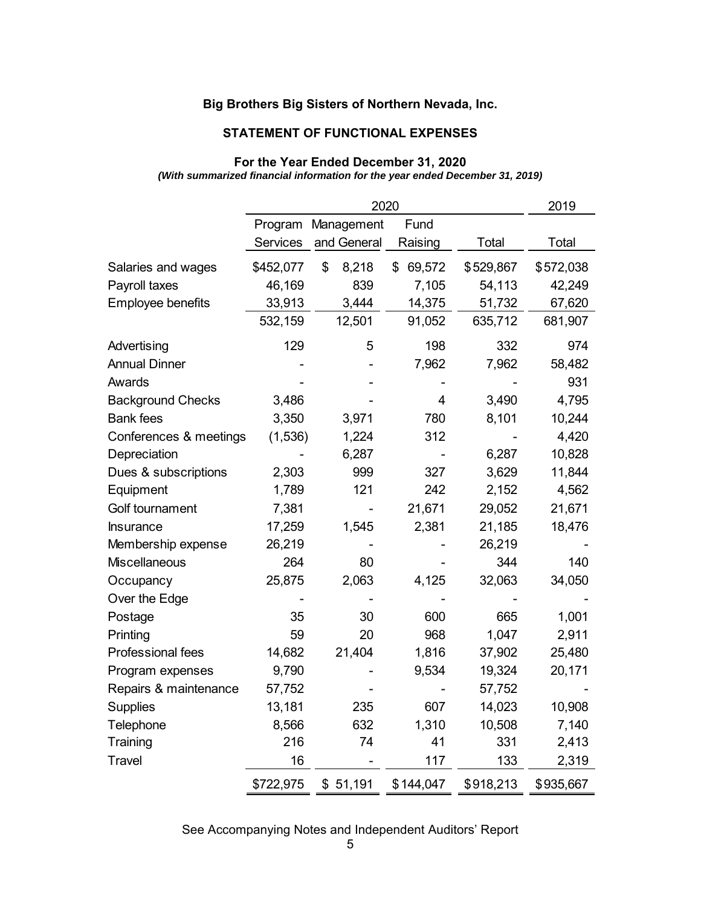# **STATEMENT OF FUNCTIONAL EXPENSES**

#### **For the Year Ended December 31, 2020**  *(With summarized financial information for the year ended December 31, 2019)*

|                          |           | 2019        |              |           |           |
|--------------------------|-----------|-------------|--------------|-----------|-----------|
|                          | Program   | Management  | Fund         |           |           |
|                          | Services  | and General | Raising      | Total     | Total     |
| Salaries and wages       | \$452,077 | \$<br>8,218 | 69,572<br>\$ | \$529,867 | \$572,038 |
| Payroll taxes            | 46,169    | 839         | 7,105        | 54,113    | 42,249    |
| <b>Employee benefits</b> | 33,913    | 3,444       | 14,375       | 51,732    | 67,620    |
|                          | 532,159   | 12,501      | 91,052       | 635,712   | 681,907   |
| Advertising              | 129       | 5           | 198          | 332       | 974       |
| <b>Annual Dinner</b>     |           |             | 7,962        | 7,962     | 58,482    |
| Awards                   |           |             |              |           | 931       |
| <b>Background Checks</b> | 3,486     |             | 4            | 3,490     | 4,795     |
| <b>Bank fees</b>         | 3,350     | 3,971       | 780          | 8,101     | 10,244    |
| Conferences & meetings   | (1,536)   | 1,224       | 312          |           | 4,420     |
| Depreciation             |           | 6,287       |              | 6,287     | 10,828    |
| Dues & subscriptions     | 2,303     | 999         | 327          | 3,629     | 11,844    |
| Equipment                | 1,789     | 121         | 242          | 2,152     | 4,562     |
| Golf tournament          | 7,381     |             | 21,671       | 29,052    | 21,671    |
| Insurance                | 17,259    | 1,545       | 2,381        | 21,185    | 18,476    |
| Membership expense       | 26,219    |             |              | 26,219    |           |
| <b>Miscellaneous</b>     | 264       | 80          |              | 344       | 140       |
| Occupancy                | 25,875    | 2,063       | 4,125        | 32,063    | 34,050    |
| Over the Edge            |           |             |              |           |           |
| Postage                  | 35        | 30          | 600          | 665       | 1,001     |
| Printing                 | 59        | 20          | 968          | 1,047     | 2,911     |
| Professional fees        | 14,682    | 21,404      | 1,816        | 37,902    | 25,480    |
| Program expenses         | 9,790     |             | 9,534        | 19,324    | 20,171    |
| Repairs & maintenance    | 57,752    |             |              | 57,752    |           |
| <b>Supplies</b>          | 13,181    | 235         | 607          | 14,023    | 10,908    |
| Telephone                | 8,566     | 632         | 1,310        | 10,508    | 7,140     |
| Training                 | 216       | 74          | 41           | 331       | 2,413     |
| <b>Travel</b>            | 16        |             | 117          | 133       | 2,319     |
|                          | \$722,975 | \$51,191    | \$144,047    | \$918,213 | \$935,667 |

See Accompanying Notes and Independent Auditors' Report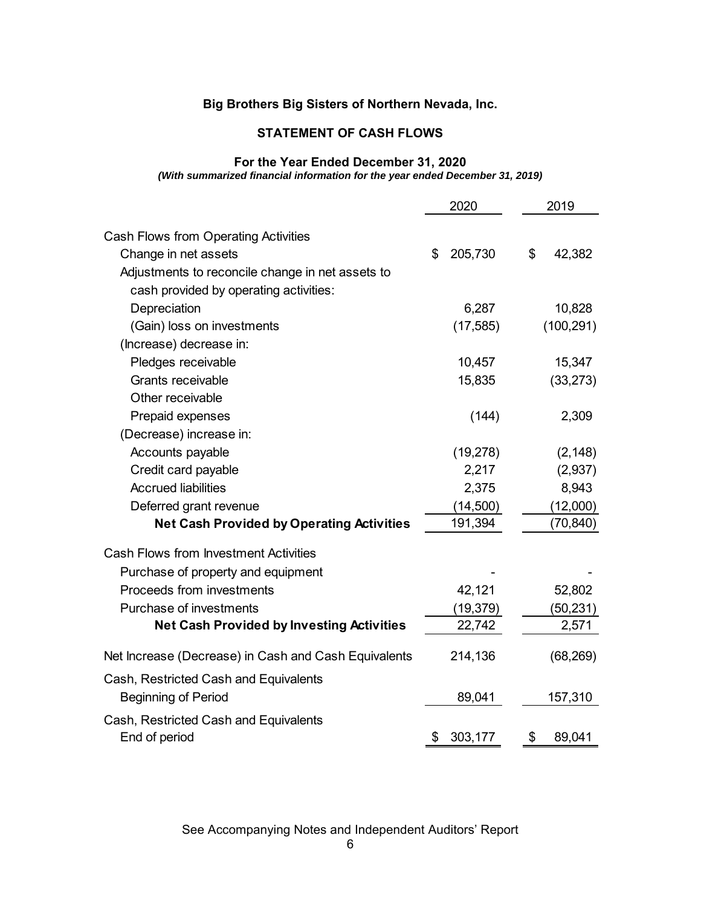# **STATEMENT OF CASH FLOWS**

#### **For the Year Ended December 31, 2020**

*(With summarized financial information for the year ended December 31, 2019)* 

|                                                      | 2020          | 2019         |
|------------------------------------------------------|---------------|--------------|
| <b>Cash Flows from Operating Activities</b>          |               |              |
| Change in net assets                                 | \$<br>205,730 | \$<br>42,382 |
| Adjustments to reconcile change in net assets to     |               |              |
| cash provided by operating activities:               |               |              |
| Depreciation                                         | 6,287         | 10,828       |
| (Gain) loss on investments                           | (17, 585)     | (100, 291)   |
| (Increase) decrease in:                              |               |              |
| Pledges receivable                                   | 10,457        | 15,347       |
| Grants receivable                                    | 15,835        | (33, 273)    |
| Other receivable                                     |               |              |
| Prepaid expenses                                     | (144)         | 2,309        |
| (Decrease) increase in:                              |               |              |
| Accounts payable                                     | (19, 278)     | (2, 148)     |
| Credit card payable                                  | 2,217         | (2,937)      |
| <b>Accrued liabilities</b>                           | 2,375         | 8,943        |
| Deferred grant revenue                               | (14, 500)     | (12,000)     |
| <b>Net Cash Provided by Operating Activities</b>     | 191,394       | (70, 840)    |
| <b>Cash Flows from Investment Activities</b>         |               |              |
| Purchase of property and equipment                   |               |              |
| Proceeds from investments                            | 42,121        | 52,802       |
| Purchase of investments                              | (19,379)      | (50, 231)    |
| <b>Net Cash Provided by Investing Activities</b>     | 22,742        | 2,571        |
| Net Increase (Decrease) in Cash and Cash Equivalents | 214,136       | (68, 269)    |
| Cash, Restricted Cash and Equivalents                |               |              |
| <b>Beginning of Period</b>                           | 89,041        | 157,310      |
| Cash, Restricted Cash and Equivalents                |               |              |
| End of period                                        | \$<br>303,177 | \$<br>89,041 |

See Accompanying Notes and Independent Auditors' Report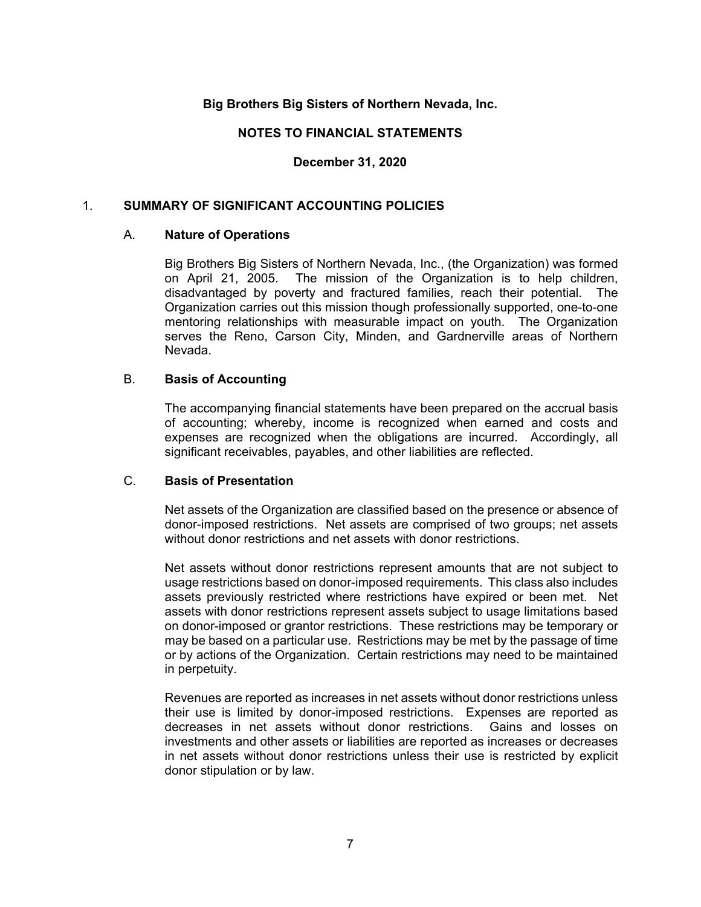### **NOTES TO FINANCIAL STATEMENTS**

#### **December 31, 2020**

#### 1. **SUMMARY OF SIGNIFICANT ACCOUNTING POLICIES**

#### A. **Nature of Operations**

Big Brothers Big Sisters of Northern Nevada, Inc., (the Organization) was formed on April 21, 2005. The mission of the Organization is to help children, disadvantaged by poverty and fractured families, reach their potential. The Organization carries out this mission though professionally supported, one-to-one mentoring relationships with measurable impact on youth. The Organization serves the Reno, Carson City, Minden, and Gardnerville areas of Northern Nevada.

#### B. **Basis of Accounting**

 The accompanying financial statements have been prepared on the accrual basis of accounting; whereby, income is recognized when earned and costs and expenses are recognized when the obligations are incurred. Accordingly, all significant receivables, payables, and other liabilities are reflected.

## C. **Basis of Presentation**

 Net assets of the Organization are classified based on the presence or absence of donor-imposed restrictions. Net assets are comprised of two groups; net assets without donor restrictions and net assets with donor restrictions.

 Net assets without donor restrictions represent amounts that are not subject to usage restrictions based on donor-imposed requirements. This class also includes assets previously restricted where restrictions have expired or been met. Net assets with donor restrictions represent assets subject to usage limitations based on donor-imposed or grantor restrictions. These restrictions may be temporary or may be based on a particular use. Restrictions may be met by the passage of time or by actions of the Organization. Certain restrictions may need to be maintained in perpetuity.

 Revenues are reported as increases in net assets without donor restrictions unless their use is limited by donor-imposed restrictions. Expenses are reported as decreases in net assets without donor restrictions. Gains and losses on investments and other assets or liabilities are reported as increases or decreases in net assets without donor restrictions unless their use is restricted by explicit donor stipulation or by law.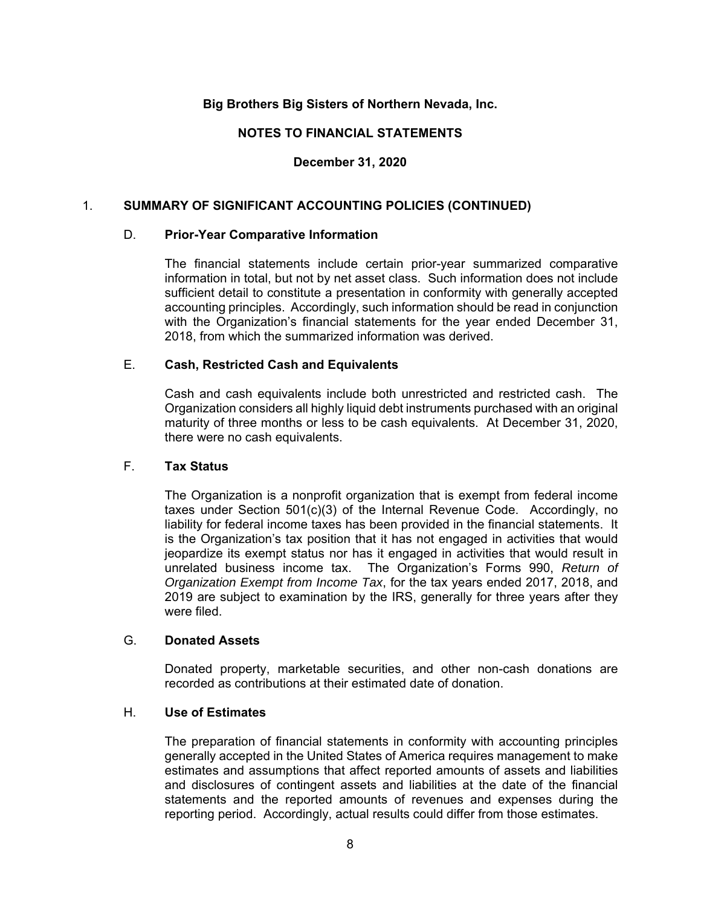## **NOTES TO FINANCIAL STATEMENTS**

#### **December 31, 2020**

#### 1. **SUMMARY OF SIGNIFICANT ACCOUNTING POLICIES (CONTINUED)**

#### D. **Prior-Year Comparative Information**

 The financial statements include certain prior-year summarized comparative information in total, but not by net asset class. Such information does not include sufficient detail to constitute a presentation in conformity with generally accepted accounting principles. Accordingly, such information should be read in conjunction with the Organization's financial statements for the year ended December 31, 2018, from which the summarized information was derived.

#### E. **Cash, Restricted Cash and Equivalents**

 Cash and cash equivalents include both unrestricted and restricted cash. The Organization considers all highly liquid debt instruments purchased with an original maturity of three months or less to be cash equivalents. At December 31, 2020, there were no cash equivalents.

## F. **Tax Status**

 The Organization is a nonprofit organization that is exempt from federal income taxes under Section 501(c)(3) of the Internal Revenue Code. Accordingly, no liability for federal income taxes has been provided in the financial statements. It is the Organization's tax position that it has not engaged in activities that would jeopardize its exempt status nor has it engaged in activities that would result in unrelated business income tax. The Organization's Forms 990, *Return of Organization Exempt from Income Tax*, for the tax years ended 2017, 2018, and 2019 are subject to examination by the IRS, generally for three years after they were filed.

#### G. **Donated Assets**

 Donated property, marketable securities, and other non-cash donations are recorded as contributions at their estimated date of donation.

#### H. **Use of Estimates**

 The preparation of financial statements in conformity with accounting principles generally accepted in the United States of America requires management to make estimates and assumptions that affect reported amounts of assets and liabilities and disclosures of contingent assets and liabilities at the date of the financial statements and the reported amounts of revenues and expenses during the reporting period. Accordingly, actual results could differ from those estimates.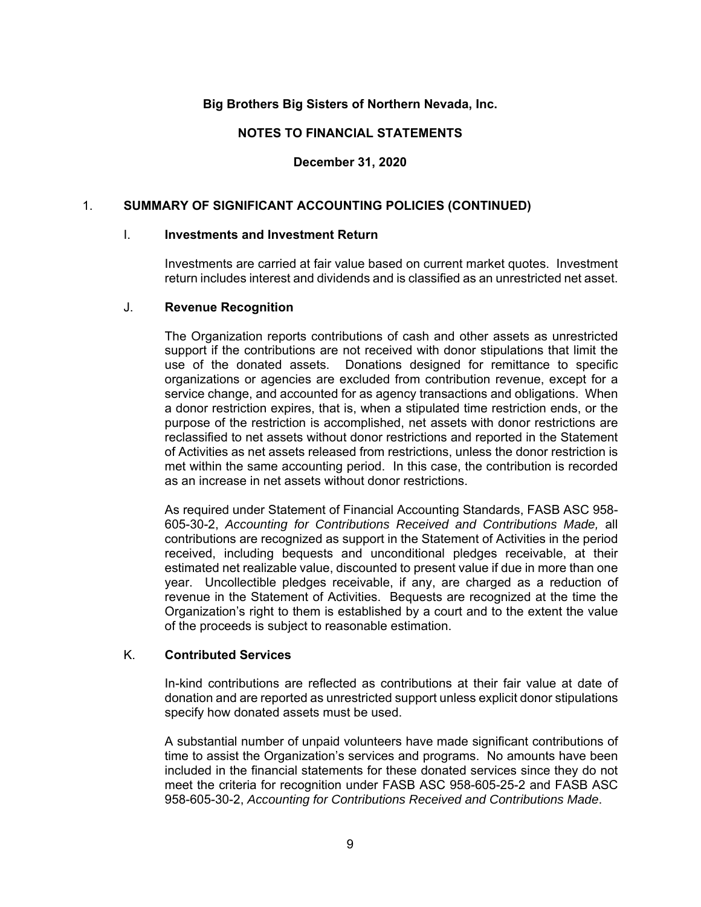## **NOTES TO FINANCIAL STATEMENTS**

### **December 31, 2020**

### 1. **SUMMARY OF SIGNIFICANT ACCOUNTING POLICIES (CONTINUED)**

#### I. **Investments and Investment Return**

 Investments are carried at fair value based on current market quotes. Investment return includes interest and dividends and is classified as an unrestricted net asset.

#### J. **Revenue Recognition**

 The Organization reports contributions of cash and other assets as unrestricted support if the contributions are not received with donor stipulations that limit the use of the donated assets. Donations designed for remittance to specific organizations or agencies are excluded from contribution revenue, except for a service change, and accounted for as agency transactions and obligations. When a donor restriction expires, that is, when a stipulated time restriction ends, or the purpose of the restriction is accomplished, net assets with donor restrictions are reclassified to net assets without donor restrictions and reported in the Statement of Activities as net assets released from restrictions, unless the donor restriction is met within the same accounting period. In this case, the contribution is recorded as an increase in net assets without donor restrictions.

 As required under Statement of Financial Accounting Standards, FASB ASC 958- 605-30-2, *Accounting for Contributions Received and Contributions Made,* all contributions are recognized as support in the Statement of Activities in the period received, including bequests and unconditional pledges receivable, at their estimated net realizable value, discounted to present value if due in more than one year. Uncollectible pledges receivable, if any, are charged as a reduction of revenue in the Statement of Activities. Bequests are recognized at the time the Organization's right to them is established by a court and to the extent the value of the proceeds is subject to reasonable estimation.

#### K. **Contributed Services**

In-kind contributions are reflected as contributions at their fair value at date of donation and are reported as unrestricted support unless explicit donor stipulations specify how donated assets must be used.

 A substantial number of unpaid volunteers have made significant contributions of time to assist the Organization's services and programs. No amounts have been included in the financial statements for these donated services since they do not meet the criteria for recognition under FASB ASC 958-605-25-2 and FASB ASC 958-605-30-2, *Accounting for Contributions Received and Contributions Made*.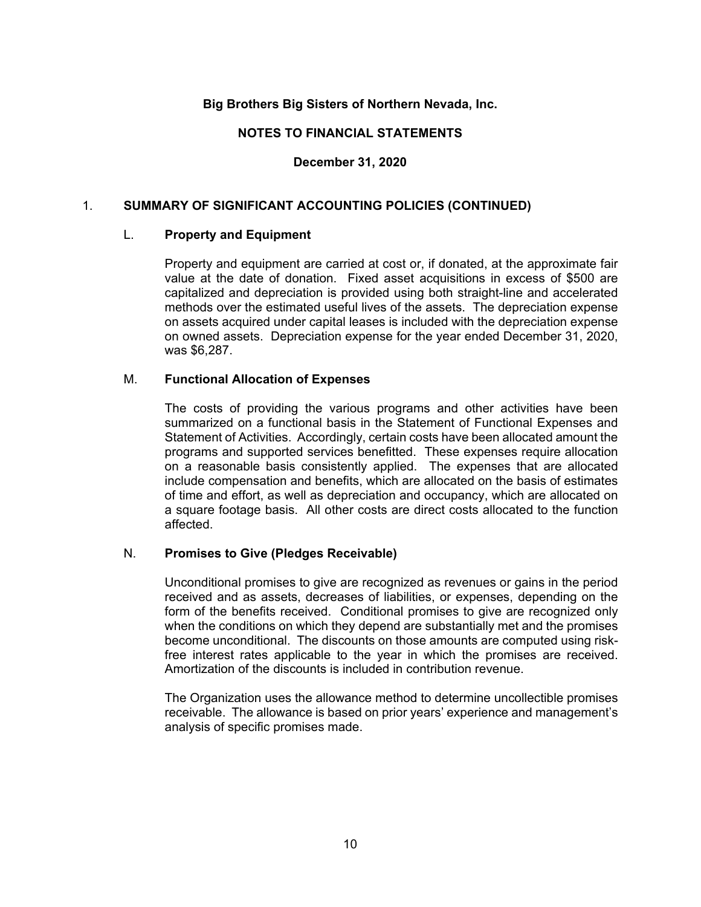## **NOTES TO FINANCIAL STATEMENTS**

### **December 31, 2020**

### 1. **SUMMARY OF SIGNIFICANT ACCOUNTING POLICIES (CONTINUED)**

#### L. **Property and Equipment**

 Property and equipment are carried at cost or, if donated, at the approximate fair value at the date of donation. Fixed asset acquisitions in excess of \$500 are capitalized and depreciation is provided using both straight-line and accelerated methods over the estimated useful lives of the assets. The depreciation expense on assets acquired under capital leases is included with the depreciation expense on owned assets. Depreciation expense for the year ended December 31, 2020, was \$6,287.

#### M. **Functional Allocation of Expenses**

 The costs of providing the various programs and other activities have been summarized on a functional basis in the Statement of Functional Expenses and Statement of Activities. Accordingly, certain costs have been allocated amount the programs and supported services benefitted. These expenses require allocation on a reasonable basis consistently applied. The expenses that are allocated include compensation and benefits, which are allocated on the basis of estimates of time and effort, as well as depreciation and occupancy, which are allocated on a square footage basis. All other costs are direct costs allocated to the function affected.

#### N. **Promises to Give (Pledges Receivable)**

 Unconditional promises to give are recognized as revenues or gains in the period received and as assets, decreases of liabilities, or expenses, depending on the form of the benefits received. Conditional promises to give are recognized only when the conditions on which they depend are substantially met and the promises become unconditional. The discounts on those amounts are computed using riskfree interest rates applicable to the year in which the promises are received. Amortization of the discounts is included in contribution revenue.

 The Organization uses the allowance method to determine uncollectible promises receivable. The allowance is based on prior years' experience and management's analysis of specific promises made.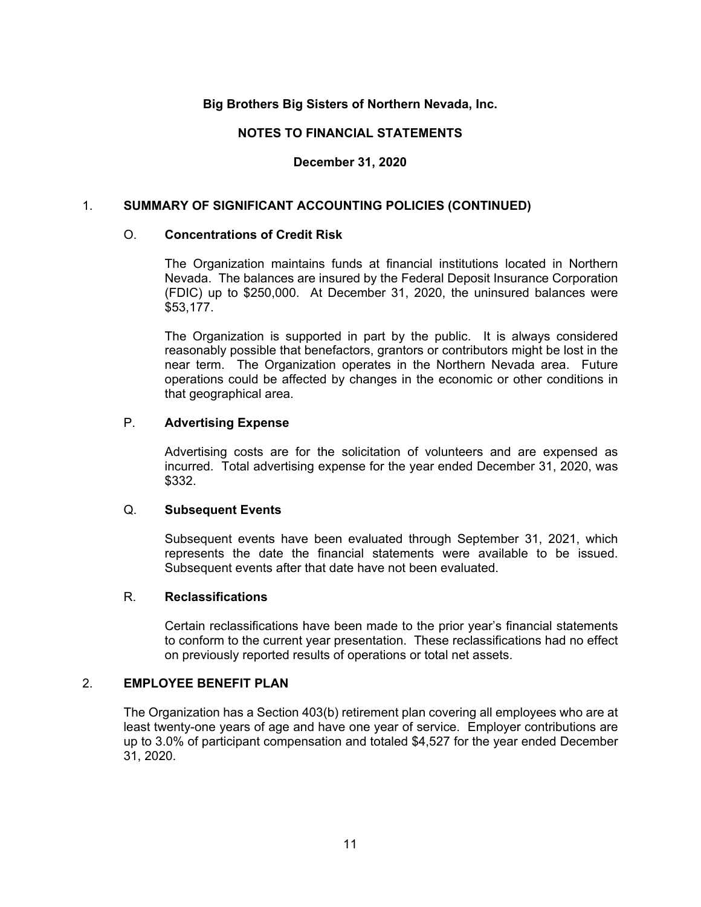# **NOTES TO FINANCIAL STATEMENTS**

## **December 31, 2020**

## 1. **SUMMARY OF SIGNIFICANT ACCOUNTING POLICIES (CONTINUED)**

## O. **Concentrations of Credit Risk**

 The Organization maintains funds at financial institutions located in Northern Nevada. The balances are insured by the Federal Deposit Insurance Corporation (FDIC) up to \$250,000. At December 31, 2020, the uninsured balances were \$53,177.

 The Organization is supported in part by the public. It is always considered reasonably possible that benefactors, grantors or contributors might be lost in the near term. The Organization operates in the Northern Nevada area. Future operations could be affected by changes in the economic or other conditions in that geographical area.

## P. **Advertising Expense**

 Advertising costs are for the solicitation of volunteers and are expensed as incurred. Total advertising expense for the year ended December 31, 2020, was \$332.

#### Q. **Subsequent Events**

 Subsequent events have been evaluated through September 31, 2021, which represents the date the financial statements were available to be issued. Subsequent events after that date have not been evaluated.

#### R. **Reclassifications**

 Certain reclassifications have been made to the prior year's financial statements to conform to the current year presentation. These reclassifications had no effect on previously reported results of operations or total net assets.

# 2. **EMPLOYEE BENEFIT PLAN**

 The Organization has a Section 403(b) retirement plan covering all employees who are at least twenty-one years of age and have one year of service. Employer contributions are up to 3.0% of participant compensation and totaled \$4,527 for the year ended December 31, 2020.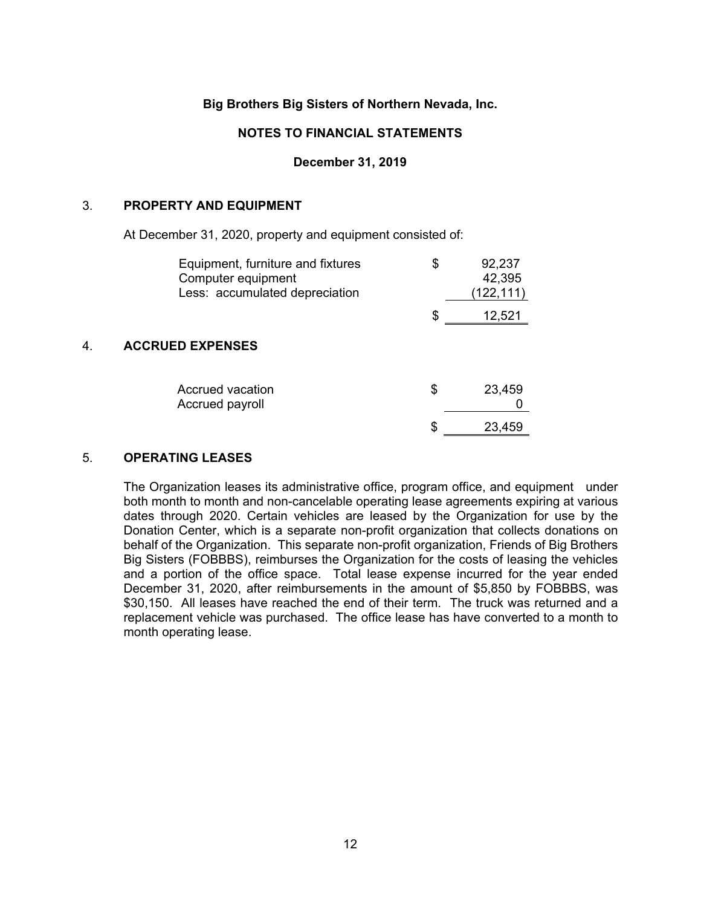## **NOTES TO FINANCIAL STATEMENTS**

#### **December 31, 2019**

### 3. **PROPERTY AND EQUIPMENT**

At December 31, 2020, property and equipment consisted of:

|    | Equipment, furniture and fixtures<br>Computer equipment<br>Less: accumulated depreciation | \$ | 92,237<br>42,395<br>122, 111) |
|----|-------------------------------------------------------------------------------------------|----|-------------------------------|
|    |                                                                                           | S  | 12,521                        |
| 4. | <b>ACCRUED EXPENSES</b>                                                                   |    |                               |
|    | Accrued vacation<br>Accrued payroll                                                       | \$ | 23,459                        |
|    |                                                                                           | \$ | 23,459                        |
|    |                                                                                           |    |                               |

#### 5. **OPERATING LEASES**

 The Organization leases its administrative office, program office, and equipment under both month to month and non-cancelable operating lease agreements expiring at various dates through 2020. Certain vehicles are leased by the Organization for use by the Donation Center, which is a separate non-profit organization that collects donations on behalf of the Organization. This separate non-profit organization, Friends of Big Brothers Big Sisters (FOBBBS), reimburses the Organization for the costs of leasing the vehicles and a portion of the office space. Total lease expense incurred for the year ended December 31, 2020, after reimbursements in the amount of \$5,850 by FOBBBS, was \$30,150. All leases have reached the end of their term. The truck was returned and a replacement vehicle was purchased. The office lease has have converted to a month to month operating lease.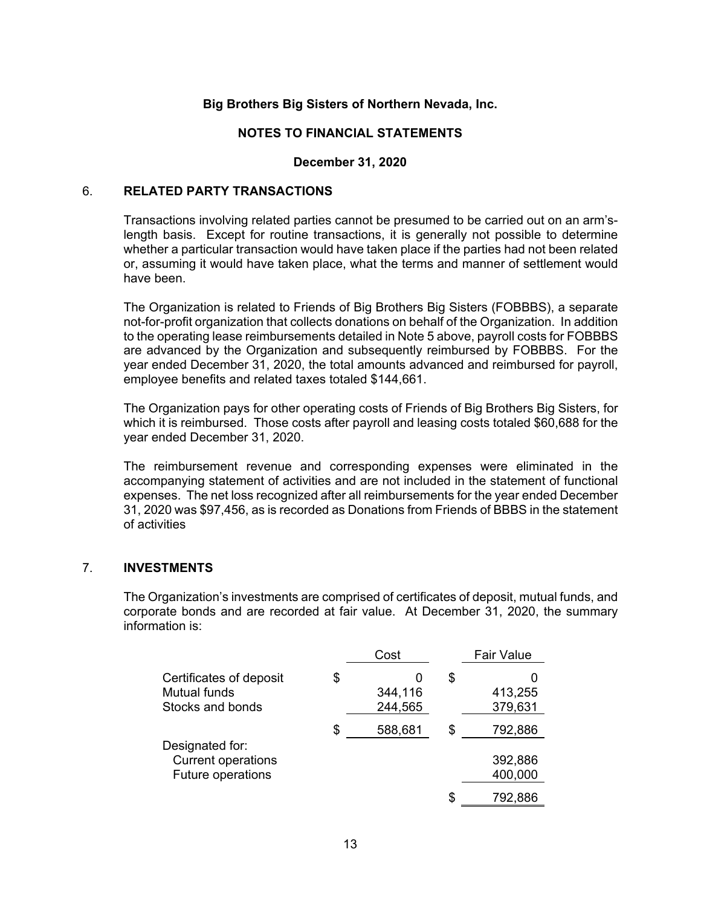## **NOTES TO FINANCIAL STATEMENTS**

#### **December 31, 2020**

#### 6. **RELATED PARTY TRANSACTIONS**

Transactions involving related parties cannot be presumed to be carried out on an arm'slength basis. Except for routine transactions, it is generally not possible to determine whether a particular transaction would have taken place if the parties had not been related or, assuming it would have taken place, what the terms and manner of settlement would have been.

The Organization is related to Friends of Big Brothers Big Sisters (FOBBBS), a separate not-for-profit organization that collects donations on behalf of the Organization. In addition to the operating lease reimbursements detailed in Note 5 above, payroll costs for FOBBBS are advanced by the Organization and subsequently reimbursed by FOBBBS. For the year ended December 31, 2020, the total amounts advanced and reimbursed for payroll, employee benefits and related taxes totaled \$144,661.

The Organization pays for other operating costs of Friends of Big Brothers Big Sisters, for which it is reimbursed. Those costs after payroll and leasing costs totaled \$60,688 for the year ended December 31, 2020.

The reimbursement revenue and corresponding expenses were eliminated in the accompanying statement of activities and are not included in the statement of functional expenses. The net loss recognized after all reimbursements for the year ended December 31, 2020 was \$97,456, as is recorded as Donations from Friends of BBBS in the statement of activities

## 7. **INVESTMENTS**

 The Organization's investments are comprised of certificates of deposit, mutual funds, and corporate bonds and are recorded at fair value. At December 31, 2020, the summary information is:

|                                                | Cost               |   | <b>Fair Value</b> |
|------------------------------------------------|--------------------|---|-------------------|
| Certificates of deposit<br><b>Mutual funds</b> | \$<br>O<br>344,116 | S | 413,255           |
| Stocks and bonds                               | 244,565            |   | 379,631           |
|                                                | \$<br>588,681      | S | 792,886           |
| Designated for:                                |                    |   |                   |
| <b>Current operations</b>                      |                    |   | 392,886           |
| Future operations                              |                    |   | 400,000           |
|                                                |                    | S | 792,886           |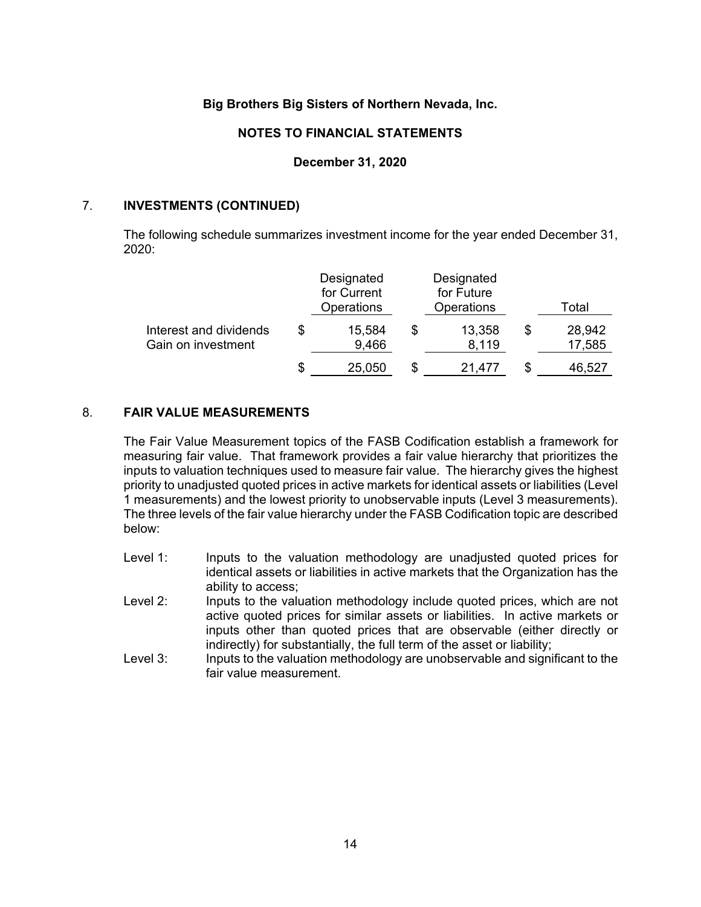## **NOTES TO FINANCIAL STATEMENTS**

#### **December 31, 2020**

## 7. **INVESTMENTS (CONTINUED)**

 The following schedule summarizes investment income for the year ended December 31,  $2020 -$ 

|                                              |   | Designated<br>for Current<br><b>Operations</b> |   | Designated<br>for Future<br>Operations |   | Total            |
|----------------------------------------------|---|------------------------------------------------|---|----------------------------------------|---|------------------|
| Interest and dividends<br>Gain on investment |   | 15,584<br>9,466                                | S | 13,358<br>8,119                        | S | 28,942<br>17,585 |
|                                              | S | 25,050                                         |   | 21,477                                 |   | 46,527           |

#### 8. **FAIR VALUE MEASUREMENTS**

 The Fair Value Measurement topics of the FASB Codification establish a framework for measuring fair value. That framework provides a fair value hierarchy that prioritizes the inputs to valuation techniques used to measure fair value. The hierarchy gives the highest priority to unadjusted quoted prices in active markets for identical assets or liabilities (Level 1 measurements) and the lowest priority to unobservable inputs (Level 3 measurements). The three levels of the fair value hierarchy under the FASB Codification topic are described below:

- Level 1: Inputs to the valuation methodology are unadjusted quoted prices for identical assets or liabilities in active markets that the Organization has the ability to access;
- Level 2: Inputs to the valuation methodology include quoted prices, which are not active quoted prices for similar assets or liabilities. In active markets or inputs other than quoted prices that are observable (either directly or indirectly) for substantially, the full term of the asset or liability;
- Level 3: Inputs to the valuation methodology are unobservable and significant to the fair value measurement.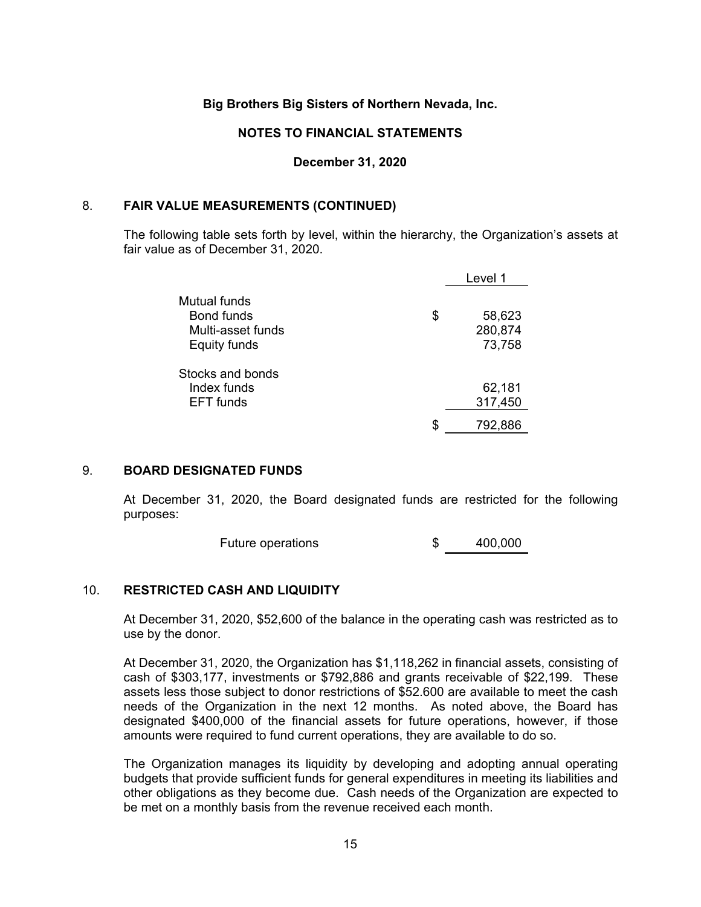## **NOTES TO FINANCIAL STATEMENTS**

#### **December 31, 2020**

## 8. **FAIR VALUE MEASUREMENTS (CONTINUED)**

 The following table sets forth by level, within the hierarchy, the Organization's assets at fair value as of December 31, 2020.

|                                                                        |    | Level 1                      |
|------------------------------------------------------------------------|----|------------------------------|
| Mutual funds<br><b>Bond funds</b><br>Multi-asset funds<br>Equity funds | \$ | 58,623<br>280,874<br>73,758  |
| Stocks and bonds<br>Index funds<br><b>EFT</b> funds                    | S  | 62,181<br>317,450<br>792,886 |
|                                                                        |    |                              |

#### 9. **BOARD DESIGNATED FUNDS**

 At December 31, 2020, the Board designated funds are restricted for the following purposes:

Future operations  $$ 400,000$ 

#### 10. **RESTRICTED CASH AND LIQUIDITY**

At December 31, 2020, \$52,600 of the balance in the operating cash was restricted as to use by the donor.

At December 31, 2020, the Organization has \$1,118,262 in financial assets, consisting of cash of \$303,177, investments or \$792,886 and grants receivable of \$22,199. These assets less those subject to donor restrictions of \$52.600 are available to meet the cash needs of the Organization in the next 12 months. As noted above, the Board has designated \$400,000 of the financial assets for future operations, however, if those amounts were required to fund current operations, they are available to do so.

The Organization manages its liquidity by developing and adopting annual operating budgets that provide sufficient funds for general expenditures in meeting its liabilities and other obligations as they become due. Cash needs of the Organization are expected to be met on a monthly basis from the revenue received each month.